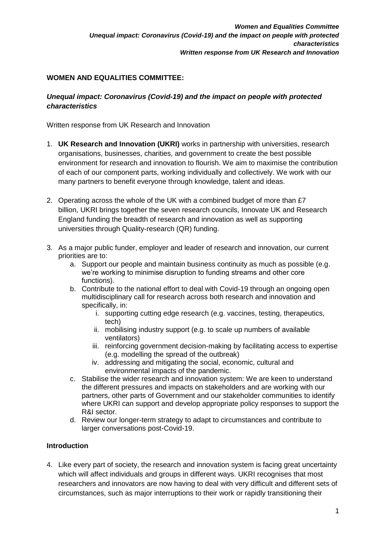# **WOMEN AND EQUALITIES COMMITTEE:**

# *Unequal impact: Coronavirus (Covid-19) and the impact on people with protected characteristics*

Written response from UK Research and Innovation

- 1. **UK Research and Innovation (UKRI)** works in partnership with universities, research organisations, businesses, charities, and government to create the best possible environment for research and innovation to flourish. We aim to maximise the contribution of each of our component parts, working individually and collectively. We work with our many partners to benefit everyone through knowledge, talent and ideas.
- 2. Operating across the whole of the UK with a combined budget of more than £7 billion, UKRI brings together the seven research councils, Innovate UK and Research England funding the breadth of research and innovation as well as supporting universities through Quality-research (QR) funding.
- 3. As a major public funder, employer and leader of research and innovation, our current priorities are to:
	- a. Support our people and maintain business continuity as much as possible (e.g. we're working to minimise disruption to funding streams and other core functions).
	- b. Contribute to the national effort to deal with Covid-19 through an ongoing open multidisciplinary call for research across both research and innovation and specifically, in:
		- i. supporting cutting edge research (e.g. vaccines, testing, therapeutics, tech)
		- ii. mobilising industry support (e.g. to scale up numbers of available ventilators)
		- iii. reinforcing government decision-making by facilitating access to expertise (e.g. modelling the spread of the outbreak)
		- iv. addressing and mitigating the social, economic, cultural and environmental impacts of the pandemic.
	- c. Stabilise the wider research and innovation system: We are keen to understand the different pressures and impacts on stakeholders and are working with our partners, other parts of Government and our stakeholder communities to identify where UKRI can support and develop appropriate policy responses to support the R&I sector.
	- d. Review our longer-term strategy to adapt to circumstances and contribute to larger conversations post-Covid-19.

# **Introduction**

4. Like every part of society, the research and innovation system is facing great uncertainty which will affect individuals and groups in different ways. UKRI recognises that most researchers and innovators are now having to deal with very difficult and different sets of circumstances, such as major interruptions to their work or rapidly transitioning their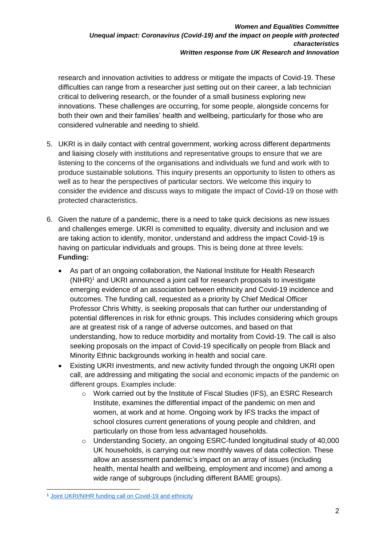research and innovation activities to address or mitigate the impacts of Covid-19. These difficulties can range from a researcher just setting out on their career, a lab technician critical to delivering research, or the founder of a small business exploring new innovations. These challenges are occurring, for some people, alongside concerns for both their own and their families' health and wellbeing, particularly for those who are considered vulnerable and needing to shield.

- 5. UKRI is in daily contact with central government, working across different departments and liaising closely with institutions and representative groups to ensure that we are listening to the concerns of the organisations and individuals we fund and work with to produce sustainable solutions. This inquiry presents an opportunity to listen to others as well as to hear the perspectives of particular sectors. We welcome this inquiry to consider the evidence and discuss ways to mitigate the impact of Covid-19 on those with protected characteristics.
- 6. Given the nature of a pandemic, there is a need to take quick decisions as new issues and challenges emerge. UKRI is committed to equality, diversity and inclusion and we are taking action to identify, monitor, understand and address the impact Covid-19 is having on particular individuals and groups. This is being done at three levels: **Funding:**
	- As part of an ongoing collaboration, the National Institute for Health Research  $(NIHR)^1$  and UKRI announced a joint call for research proposals to investigate emerging evidence of an association between ethnicity and Covid-19 incidence and outcomes. The funding call, requested as a priority by Chief Medical Officer Professor Chris Whitty, is seeking proposals that can further our understanding of potential differences in risk for ethnic groups. This includes considering which groups are at greatest risk of a range of adverse outcomes, and based on that understanding, how to reduce morbidity and mortality from Covid-19. The call is also seeking proposals on the impact of Covid-19 specifically on people from Black and Minority Ethnic backgrounds working in health and social care.
	- Existing UKRI investments, and new activity funded through the ongoing UKRI open call, are addressing and mitigating the social and economic impacts of the pandemic on different groups. Examples include:
		- o Work carried out by the Institute of Fiscal Studies (IFS), an ESRC Research Institute, examines the differential impact of the pandemic on men and women, at work and at home. Ongoing work by IFS tracks the impact of school closures current generations of young people and children, and particularly on those from less advantaged households.
		- o Understanding Society, an ongoing ESRC-funded longitudinal study of 40,000 UK households, is carrying out new monthly waves of data collection. These allow an assessment pandemic's impact on an array of issues (including health, mental health and wellbeing, employment and income) and among a wide range of subgroups (including different BAME groups).

<sup>-</sup><sup>1</sup> [Joint UKRI/NIHR funding call on Covid-19 and ethnicity](https://www.nihr.ac.uk/documents/highlight-notice-covid-19-and-ethnicity/24657)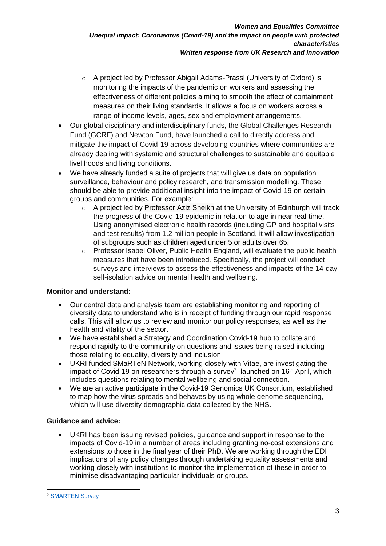- o A project led by Professor Abigail Adams-Prassl (University of Oxford) is monitoring the impacts of the pandemic on workers and assessing the effectiveness of different policies aiming to smooth the effect of containment measures on their living standards. It allows a focus on workers across a range of income levels, ages, sex and employment arrangements.
- Our global disciplinary and interdisciplinary funds, the Global Challenges Research Fund (GCRF) and Newton Fund, have launched a call to directly address and mitigate the impact of Covid-19 across developing countries where communities are already dealing with systemic and structural challenges to sustainable and equitable livelihoods and living conditions.
- We have already funded a suite of projects that will give us data on population surveillance, behaviour and policy research, and transmission modelling. These should be able to provide additional insight into the impact of Covid-19 on certain groups and communities. For example:
	- o A project led by Professor Aziz Sheikh at the University of Edinburgh will track the progress of the Covid-19 epidemic in relation to age in near real-time. Using anonymised electronic health records (including GP and hospital visits and test results) from 1.2 million people in Scotland, it will allow investigation of subgroups such as children aged under 5 or adults over 65.
	- o Professor Isabel Oliver, Public Health England, will evaluate the public health measures that have been introduced. Specifically, the project will conduct surveys and interviews to assess the effectiveness and impacts of the 14-day self-isolation advice on mental health and wellbeing.

# **Monitor and understand:**

- Our central data and analysis team are establishing monitoring and reporting of diversity data to understand who is in receipt of funding through our rapid response calls. This will allow us to review and monitor our policy responses, as well as the health and vitality of the sector.
- We have established a Strategy and Coordination Covid-19 hub to collate and respond rapidly to the community on questions and issues being raised including those relating to equality, diversity and inclusion.
- UKRI funded SMaRTeN Network, working closely with Vitae, are investigating the impact of Covid-19 on researchers through a survey<sup>2</sup> launched on 16<sup>th</sup> April, which includes questions relating to mental wellbeing and social connection.
- We are an active participate in the Covid-19 Genomics UK Consortium, established to map how the virus spreads and behaves by using whole genome sequencing, which will use diversity demographic data collected by the NHS.

# **Guidance and advice:**

• UKRI has been issuing revised policies, guidance and support in response to the impacts of Covid-19 in a number of areas including granting no-cost extensions and extensions to those in the final year of their PhD. We are working through the EDI implications of any policy changes through undertaking equality assessments and working closely with institutions to monitor the implementation of these in order to minimise disadvantaging particular individuals or groups.

<sup>-</sup><sup>2</sup> [SMARTEN Survey](https://www.smarten.org.uk/covid-19-study.html)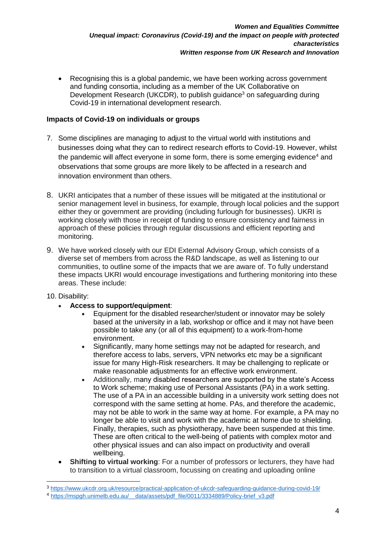• Recognising this is a global pandemic, we have been working across government and funding consortia, including as a member of the UK Collaborative on Development Research (UKCDR), to publish guidance<sup>3</sup> on safeguarding during Covid-19 in international development research.

# **Impacts of Covid-19 on individuals or groups**

- 7. Some disciplines are managing to adjust to the virtual world with institutions and businesses doing what they can to redirect research efforts to Covid-19. However, whilst the pandemic will affect everyone in some form, there is some emerging evidence<sup>4</sup> and observations that some groups are more likely to be affected in a research and innovation environment than others.
- 8. UKRI anticipates that a number of these issues will be mitigated at the institutional or senior management level in business, for example, through local policies and the support either they or government are providing (including furlough for businesses). UKRI is working closely with those in receipt of funding to ensure consistency and fairness in approach of these policies through regular discussions and efficient reporting and monitoring.
- 9. We have worked closely with our EDI External Advisory Group, which consists of a diverse set of members from across the R&D landscape, as well as listening to our communities, to outline some of the impacts that we are aware of. To fully understand these impacts UKRI would encourage investigations and furthering monitoring into these areas. These include:

### 10. Disability:

-

- **Access to support/equipment**:
	- Equipment for the disabled researcher/student or innovator may be solely based at the university in a lab, workshop or office and it may not have been possible to take any (or all of this equipment) to a work-from-home environment.
	- Significantly, many home settings may not be adapted for research, and therefore access to labs, servers, VPN networks etc may be a significant issue for many High-Risk researchers. It may be challenging to replicate or make reasonable adjustments for an effective work environment.
	- Additionally, many disabled researchers are supported by the state's Access to Work scheme; making use of Personal Assistants (PA) in a work setting. The use of a PA in an accessible building in a university work setting does not correspond with the same setting at home. PAs, and therefore the academic, may not be able to work in the same way at home. For example, a PA may no longer be able to visit and work with the academic at home due to shielding. Finally, therapies, such as physiotherapy, have been suspended at this time. These are often critical to the well-being of patients with complex motor and other physical issues and can also impact on productivity and overall wellbeing.
- **Shifting to virtual working**: For a number of professors or lecturers, they have had to transition to a virtual classroom, focussing on creating and uploading online

<sup>3</sup> <https://www.ukcdr.org.uk/resource/practical-application-of-ukcdr-safeguarding-guidance-during-covid-19/>

<sup>4</sup> [https://mspgh.unimelb.edu.au/\\_\\_data/assets/pdf\\_file/0011/3334889/Policy-brief\\_v3.pdf](https://mspgh.unimelb.edu.au/__data/assets/pdf_file/0011/3334889/Policy-brief_v3.pdf)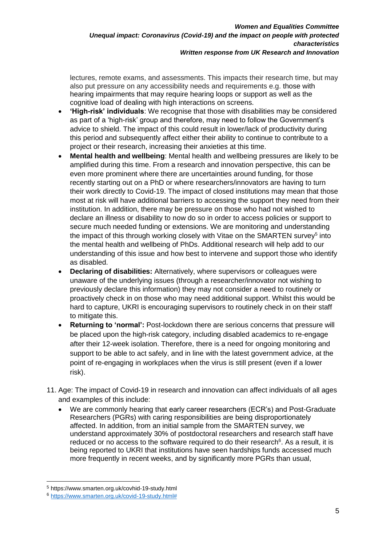lectures, remote exams, and assessments. This impacts their research time, but may also put pressure on any accessibility needs and requirements e.g. those with hearing impairments that may require hearing loops or support as well as the cognitive load of dealing with high interactions on screens.

- **'High-risk' individuals**: We recognise that those with disabilities may be considered as part of a 'high-risk' group and therefore, may need to follow the Government's advice to shield. The impact of this could result in lower/lack of productivity during this period and subsequently affect either their ability to continue to contribute to a project or their research, increasing their anxieties at this time.
- **Mental health and wellbeing**: Mental health and wellbeing pressures are likely to be amplified during this time. From a research and innovation perspective, this can be even more prominent where there are uncertainties around funding, for those recently starting out on a PhD or where researchers/innovators are having to turn their work directly to Covid-19. The impact of closed institutions may mean that those most at risk will have additional barriers to accessing the support they need from their institution. In addition, there may be pressure on those who had not wished to declare an illness or disability to now do so in order to access policies or support to secure much needed funding or extensions. We are monitoring and understanding the impact of this through working closely with Vitae on the SMARTEN survey<sup>5</sup> into the mental health and wellbeing of PhDs. Additional research will help add to our understanding of this issue and how best to intervene and support those who identify as disabled.
- **Declaring of disabilities:** Alternatively, where supervisors or colleagues were unaware of the underlying issues (through a researcher/innovator not wishing to previously declare this information) they may not consider a need to routinely or proactively check in on those who may need additional support. Whilst this would be hard to capture, UKRI is encouraging supervisors to routinely check in on their staff to mitigate this.
- **Returning to 'normal':** Post-lockdown there are serious concerns that pressure will be placed upon the high-risk category, including disabled academics to re-engage after their 12-week isolation. Therefore, there is a need for ongoing monitoring and support to be able to act safely, and in line with the latest government advice, at the point of re-engaging in workplaces when the virus is still present (even if a lower risk).
- 11. Age: The impact of Covid-19 in research and innovation can affect individuals of all ages and examples of this include:
	- We are commonly hearing that early career researchers (ECR's) and Post-Graduate Researchers (PGRs) with caring responsibilities are being disproportionately affected. In addition, from an initial sample from the SMARTEN survey, we understand approximately 30% of postdoctoral researchers and research staff have reduced or no access to the software required to do their research $6$ . As a result, it is being reported to UKRI that institutions have seen hardships funds accessed much more frequently in recent weeks, and by significantly more PGRs than usual,

-

<sup>5</sup> https://www.smarten.org.uk/covhid-19-study.html

<sup>6</sup> [https://www.smarten.org.uk/covid-19-study.html#](https://www.smarten.org.uk/covid-19-study.html)